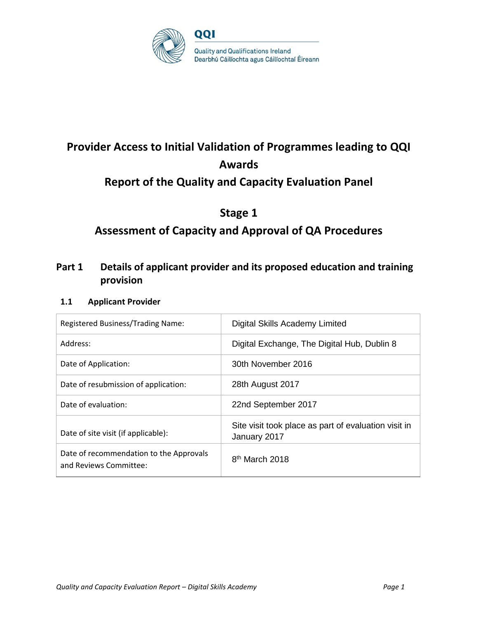

# **Provider Access to Initial Validation of Programmes leading to QQI Awards**

# **Report of the Quality and Capacity Evaluation Panel**

# **Stage 1**

# **Assessment of Capacity and Approval of QA Procedures**

# **Part 1 Details of applicant provider and its proposed education and training provision**

### **1.1 Applicant Provider**

| Registered Business/Trading Name:                                 | Digital Skills Academy Limited                                       |
|-------------------------------------------------------------------|----------------------------------------------------------------------|
| Address:                                                          | Digital Exchange, The Digital Hub, Dublin 8                          |
| Date of Application:                                              | 30th November 2016                                                   |
| Date of resubmission of application:                              | 28th August 2017                                                     |
| Date of evaluation:                                               | 22nd September 2017                                                  |
| Date of site visit (if applicable):                               | Site visit took place as part of evaluation visit in<br>January 2017 |
| Date of recommendation to the Approvals<br>and Reviews Committee: | $8th$ March 2018                                                     |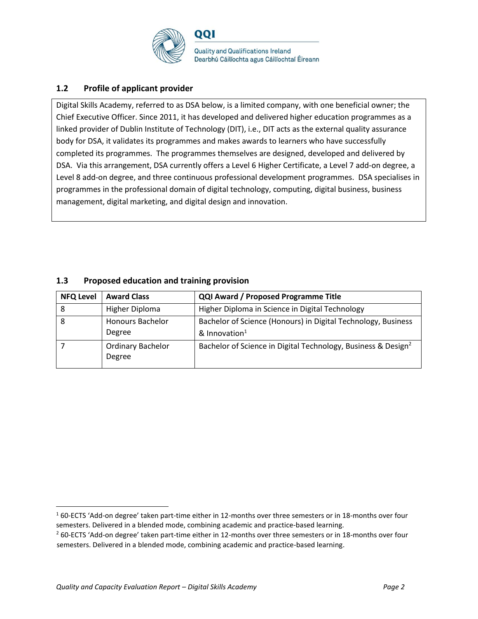

### **1.2 Profile of applicant provider**

Digital Skills Academy, referred to as DSA below, is a limited company, with one beneficial owner; the Chief Executive Officer. Since 2011, it has developed and delivered higher education programmes as a linked provider of Dublin Institute of Technology (DIT), i.e., DIT acts as the external quality assurance body for DSA, it validates its programmes and makes awards to learners who have successfully completed its programmes. The programmes themselves are designed, developed and delivered by DSA. Via this arrangement, DSA currently offers a Level 6 Higher Certificate, a Level 7 add-on degree, a Level 8 add-on degree, and three continuous professional development programmes. DSA specialises in programmes in the professional domain of digital technology, computing, digital business, business management, digital marketing, and digital design and innovation.

|                                                  |  | $\overline{\phantom{a}}$ NFO Laugh $\overline{\phantom{a}}$ August Class | $\overline{O}$ $\overline{O}$ $\overline{O}$ $\overline{O}$ $\overline{O}$ $\overline{O}$ $\overline{O}$ $\overline{O}$ $\overline{O}$ $\overline{O}$ $\overline{O}$ $\overline{O}$ $\overline{O}$ |
|--------------------------------------------------|--|--------------------------------------------------------------------------|----------------------------------------------------------------------------------------------------------------------------------------------------------------------------------------------------|
| Proposed education and training provision<br>1.3 |  |                                                                          |                                                                                                                                                                                                    |

| <b>NFQ Level</b> | <b>Award Class</b>                 | <b>QQI Award / Proposed Programme Title</b>                                                |
|------------------|------------------------------------|--------------------------------------------------------------------------------------------|
|                  | Higher Diploma                     | Higher Diploma in Science in Digital Technology                                            |
|                  | Honours Bachelor<br>Degree         | Bachelor of Science (Honours) in Digital Technology, Business<br>& Innovation <sup>1</sup> |
|                  | <b>Ordinary Bachelor</b><br>Degree | Bachelor of Science in Digital Technology, Business & Design <sup>2</sup>                  |

 $\overline{a}$ 

<sup>1</sup> 60-ECTS 'Add-on degree' taken part-time either in 12-months over three semesters or in 18-months over four semesters. Delivered in a blended mode, combining academic and practice-based learning.

<sup>&</sup>lt;sup>2</sup> 60-ECTS 'Add-on degree' taken part-time either in 12-months over three semesters or in 18-months over four semesters. Delivered in a blended mode, combining academic and practice-based learning.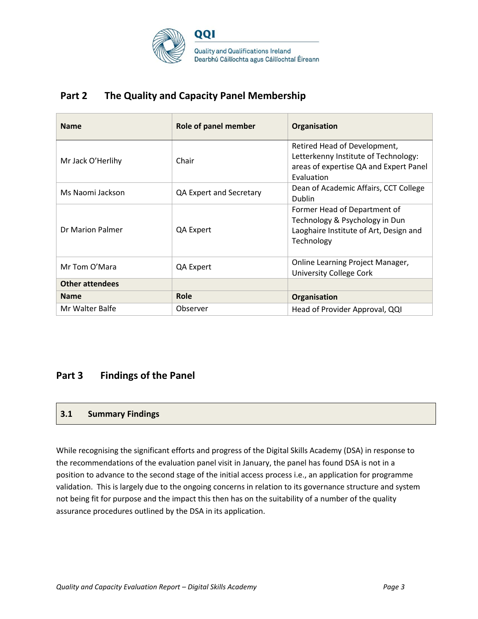

# **Part 2 The Quality and Capacity Panel Membership**

| <b>Name</b>            | Role of panel member    | Organisation                                                                                                                 |
|------------------------|-------------------------|------------------------------------------------------------------------------------------------------------------------------|
| Mr Jack O'Herlihy      | Chair                   | Retired Head of Development,<br>Letterkenny Institute of Technology:<br>areas of expertise QA and Expert Panel<br>Evaluation |
| Ms Naomi Jackson       | QA Expert and Secretary | Dean of Academic Affairs, CCT College<br>Dublin                                                                              |
| Dr Marion Palmer       | QA Expert               | Former Head of Department of<br>Technology & Psychology in Dun<br>Laoghaire Institute of Art, Design and<br>Technology       |
| Mr Tom O'Mara          | QA Expert               | Online Learning Project Manager,<br><b>University College Cork</b>                                                           |
| <b>Other attendees</b> |                         |                                                                                                                              |
| <b>Name</b>            | <b>Role</b>             | Organisation                                                                                                                 |
| Mr Walter Balfe        | Observer                | Head of Provider Approval, QQI                                                                                               |

# **Part 3 Findings of the Panel**

### **3.1 Summary Findings**

While recognising the significant efforts and progress of the Digital Skills Academy (DSA) in response to the recommendations of the evaluation panel visit in January, the panel has found DSA is not in a position to advance to the second stage of the initial access process i.e., an application for programme validation. This is largely due to the ongoing concerns in relation to its governance structure and system not being fit for purpose and the impact this then has on the suitability of a number of the quality assurance procedures outlined by the DSA in its application.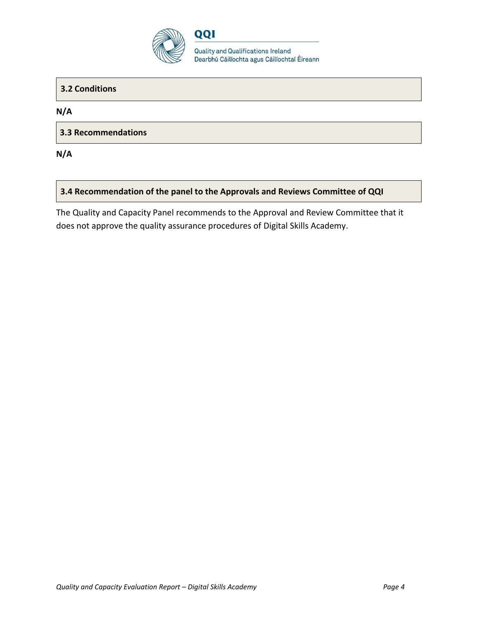

QQI

Quality and Qualifications Ireland Dearbhú Cáilíochta agus Cáilíochtaí Éireann

### **3.2 Conditions**

**N/A**

### **3.3 Recommendations**

**N/A**

### **3.4 Recommendation of the panel to the Approvals and Reviews Committee of QQI**

The Quality and Capacity Panel recommends to the Approval and Review Committee that it does not approve the quality assurance procedures of Digital Skills Academy.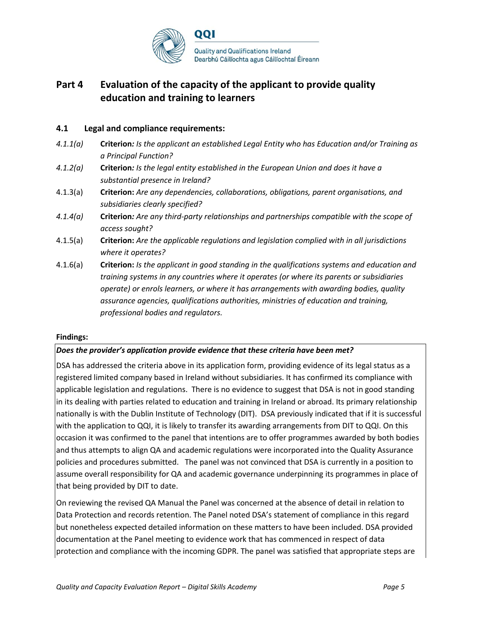

# **Part 4 Evaluation of the capacity of the applicant to provide quality education and training to learners**

#### **4.1 Legal and compliance requirements:**

- *4.1.1(a)* **Criterion***: Is the applicant an established Legal Entity who has Education and/or Training as a Principal Function?*
- *4.1.2(a)* **Criterion***: Is the legal entity established in the European Union and does it have a substantial presence in Ireland?*
- 4.1.3(a) **Criterion:** *Are any dependencies, collaborations, obligations, parent organisations, and subsidiaries clearly specified?*
- *4.1.4(a)* **Criterion***: Are any third-party relationships and partnerships compatible with the scope of access sought?*
- 4.1.5(a) **Criterion:** *Are the applicable regulations and legislation complied with in all jurisdictions where it operates?*
- 4.1.6(a) **Criterion:** *Is the applicant in good standing in the qualifications systems and education and training systems in any countries where it operates (or where its parents or subsidiaries operate) or enrols learners, or where it has arrangements with awarding bodies, quality assurance agencies, qualifications authorities, ministries of education and training, professional bodies and regulators.*

#### **Findings:**

#### *Does the provider's application provide evidence that these criteria have been met?*

DSA has addressed the criteria above in its application form, providing evidence of its legal status as a registered limited company based in Ireland without subsidiaries. It has confirmed its compliance with applicable legislation and regulations. There is no evidence to suggest that DSA is not in good standing in its dealing with parties related to education and training in Ireland or abroad. Its primary relationship nationally is with the Dublin Institute of Technology (DIT). DSA previously indicated that if it is successful with the application to QQI, it is likely to transfer its awarding arrangements from DIT to QQI. On this occasion it was confirmed to the panel that intentions are to offer programmes awarded by both bodies and thus attempts to align QA and academic regulations were incorporated into the Quality Assurance policies and procedures submitted. The panel was not convinced that DSA is currently in a position to assume overall responsibility for QA and academic governance underpinning its programmes in place of that being provided by DIT to date.

On reviewing the revised QA Manual the Panel was concerned at the absence of detail in relation to Data Protection and records retention. The Panel noted DSA's statement of compliance in this regard but nonetheless expected detailed information on these matters to have been included. DSA provided documentation at the Panel meeting to evidence work that has commenced in respect of data protection and compliance with the incoming GDPR. The panel was satisfied that appropriate steps are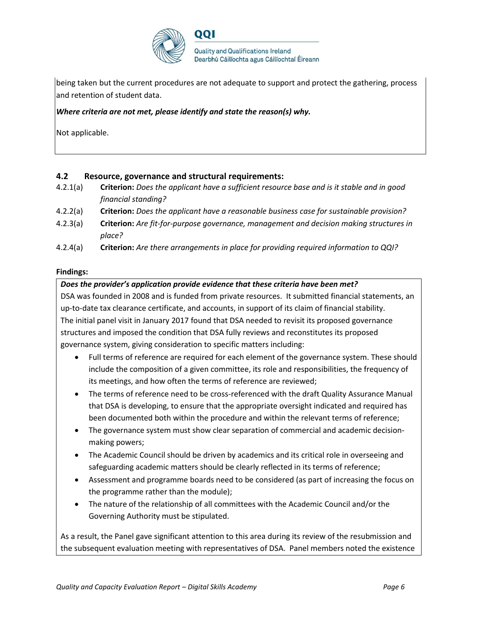

being taken but the current procedures are not adequate to support and protect the gathering, process and retention of student data.

*Where criteria are not met, please identify and state the reason(s) why.* 

Not applicable.

### **4.2 Resource, governance and structural requirements:**

- 4.2.1(a) **Criterion:** *Does the applicant have a sufficient resource base and is it stable and in good financial standing?*
- 4.2.2(a) **Criterion:** *Does the applicant have a reasonable business case for sustainable provision?*
- 4.2.3(a) **Criterion:** *Are fit-for-purpose governance, management and decision making structures in place?*
- 4.2.4(a) **Criterion:** *Are there arrangements in place for providing required information to QQI?*

#### **Findings:**

#### *Does the provider's application provide evidence that these criteria have been met?*

DSA was founded in 2008 and is funded from private resources. It submitted financial statements, an up-to-date tax clearance certificate, and accounts, in support of its claim of financial stability. The initial panel visit in January 2017 found that DSA needed to revisit its proposed governance structures and imposed the condition that DSA fully reviews and reconstitutes its proposed governance system, giving consideration to specific matters including:

- Full terms of reference are required for each element of the governance system. These should include the composition of a given committee, its role and responsibilities, the frequency of its meetings, and how often the terms of reference are reviewed;
- The terms of reference need to be cross-referenced with the draft Quality Assurance Manual that DSA is developing, to ensure that the appropriate oversight indicated and required has been documented both within the procedure and within the relevant terms of reference;
- The governance system must show clear separation of commercial and academic decisionmaking powers;
- The Academic Council should be driven by academics and its critical role in overseeing and safeguarding academic matters should be clearly reflected in its terms of reference;
- Assessment and programme boards need to be considered (as part of increasing the focus on the programme rather than the module);
- The nature of the relationship of all committees with the Academic Council and/or the Governing Authority must be stipulated.

As a result, the Panel gave significant attention to this area during its review of the resubmission and the subsequent evaluation meeting with representatives of DSA. Panel members noted the existence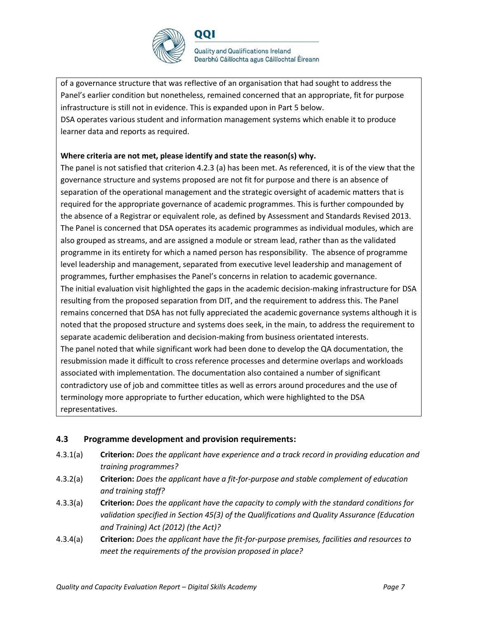

QQI

of a governance structure that was reflective of an organisation that had sought to address the Panel's earlier condition but nonetheless, remained concerned that an appropriate, fit for purpose infrastructure is still not in evidence. This is expanded upon in Part 5 below. DSA operates various student and information management systems which enable it to produce learner data and reports as required.

#### **Where criteria are not met, please identify and state the reason(s) why.**

The panel is not satisfied that criterion 4.2.3 (a) has been met. As referenced, it is of the view that the governance structure and systems proposed are not fit for purpose and there is an absence of separation of the operational management and the strategic oversight of academic matters that is required for the appropriate governance of academic programmes. This is further compounded by the absence of a Registrar or equivalent role, as defined by Assessment and Standards Revised 2013. The Panel is concerned that DSA operates its academic programmes as individual modules, which are also grouped as streams, and are assigned a module or stream lead, rather than as the validated programme in its entirety for which a named person has responsibility. The absence of programme level leadership and management, separated from executive level leadership and management of programmes, further emphasises the Panel's concerns in relation to academic governance. The initial evaluation visit highlighted the gaps in the academic decision-making infrastructure for DSA resulting from the proposed separation from DIT, and the requirement to address this. The Panel remains concerned that DSA has not fully appreciated the academic governance systems although it is noted that the proposed structure and systems does seek, in the main, to address the requirement to separate academic deliberation and decision-making from business orientated interests. The panel noted that while significant work had been done to develop the QA documentation, the resubmission made it difficult to cross reference processes and determine overlaps and workloads associated with implementation. The documentation also contained a number of significant contradictory use of job and committee titles as well as errors around procedures and the use of terminology more appropriate to further education, which were highlighted to the DSA representatives.

#### **4.3 Programme development and provision requirements:**

- 4.3.1(a) **Criterion:** *Does the applicant have experience and a track record in providing education and training programmes?*
- 4.3.2(a) **Criterion:** *Does the applicant have a fit-for-purpose and stable complement of education and training staff?*
- 4.3.3(a) **Criterion:** *Does the applicant have the capacity to comply with the standard conditions for validation specified in Section 45(3) of the Qualifications and Quality Assurance (Education and Training) Act (2012) (the Act)?*
- 4.3.4(a) **Criterion:** *Does the applicant have the fit-for-purpose premises, facilities and resources to meet the requirements of the provision proposed in place?*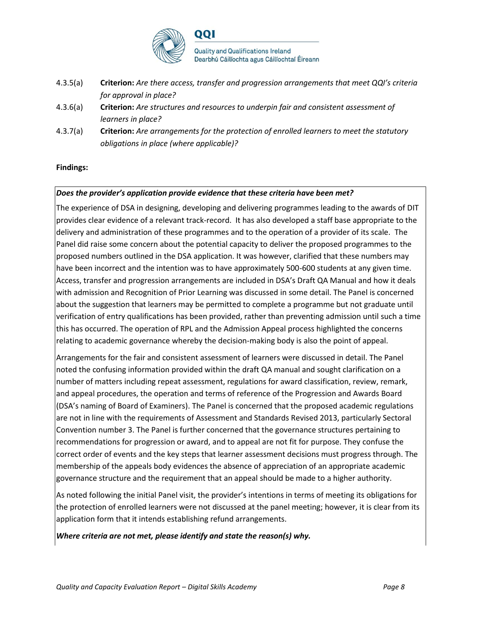

- 4.3.5(a) **Criterion:** *Are there access, transfer and progression arrangements that meet QQI's criteria for approval in place?*
- 4.3.6(a) **Criterion:** *Are structures and resources to underpin fair and consistent assessment of learners in place?*
- 4.3.7(a) **Criterion:** *Are arrangements for the protection of enrolled learners to meet the statutory obligations in place (where applicable)?*

#### **Findings:**

#### *Does the provider's application provide evidence that these criteria have been met?*

The experience of DSA in designing, developing and delivering programmes leading to the awards of DIT provides clear evidence of a relevant track-record. It has also developed a staff base appropriate to the delivery and administration of these programmes and to the operation of a provider of its scale. The Panel did raise some concern about the potential capacity to deliver the proposed programmes to the proposed numbers outlined in the DSA application. It was however, clarified that these numbers may have been incorrect and the intention was to have approximately 500-600 students at any given time. Access, transfer and progression arrangements are included in DSA's Draft QA Manual and how it deals with admission and Recognition of Prior Learning was discussed in some detail. The Panel is concerned about the suggestion that learners may be permitted to complete a programme but not graduate until verification of entry qualifications has been provided, rather than preventing admission until such a time this has occurred. The operation of RPL and the Admission Appeal process highlighted the concerns relating to academic governance whereby the decision-making body is also the point of appeal.

Arrangements for the fair and consistent assessment of learners were discussed in detail. The Panel noted the confusing information provided within the draft QA manual and sought clarification on a number of matters including repeat assessment, regulations for award classification, review, remark, and appeal procedures, the operation and terms of reference of the Progression and Awards Board (DSA's naming of Board of Examiners). The Panel is concerned that the proposed academic regulations are not in line with the requirements of Assessment and Standards Revised 2013, particularly Sectoral Convention number 3. The Panel is further concerned that the governance structures pertaining to recommendations for progression or award, and to appeal are not fit for purpose. They confuse the correct order of events and the key steps that learner assessment decisions must progress through. The membership of the appeals body evidences the absence of appreciation of an appropriate academic governance structure and the requirement that an appeal should be made to a higher authority.

As noted following the initial Panel visit, the provider's intentions in terms of meeting its obligations for the protection of enrolled learners were not discussed at the panel meeting; however, it is clear from its application form that it intends establishing refund arrangements.

*Where criteria are not met, please identify and state the reason(s) why.*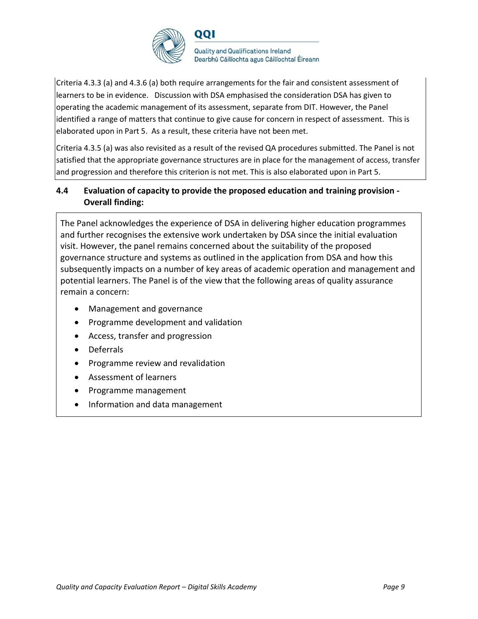

**Quality and Qualifications Ireland** Dearbhú Cáilíochta agus Cáilíochtaí Éireann

Criteria 4.3.3 (a) and 4.3.6 (a) both require arrangements for the fair and consistent assessment of learners to be in evidence. Discussion with DSA emphasised the consideration DSA has given to operating the academic management of its assessment, separate from DIT. However, the Panel identified a range of matters that continue to give cause for concern in respect of assessment. This is elaborated upon in Part 5. As a result, these criteria have not been met.

Criteria 4.3.5 (a) was also revisited as a result of the revised QA procedures submitted. The Panel is not satisfied that the appropriate governance structures are in place for the management of access, transfer and progression and therefore this criterion is not met. This is also elaborated upon in Part 5.

### **4.4 Evaluation of capacity to provide the proposed education and training provision - Overall finding:**

The Panel acknowledges the experience of DSA in delivering higher education programmes and further recognises the extensive work undertaken by DSA since the initial evaluation visit. However, the panel remains concerned about the suitability of the proposed governance structure and systems as outlined in the application from DSA and how this subsequently impacts on a number of key areas of academic operation and management and potential learners. The Panel is of the view that the following areas of quality assurance remain a concern:

- Management and governance
- Programme development and validation
- Access, transfer and progression
- Deferrals
- Programme review and revalidation
- Assessment of learners
- Programme management
- Information and data management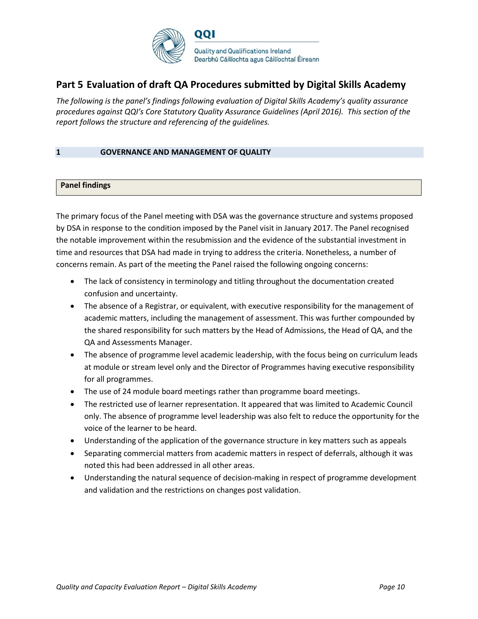

# **Part 5 Evaluation of draft QA Procedures submitted by Digital Skills Academy**

*The following is the panel's findings following evaluation of Digital Skills Academy's quality assurance procedures against QQI's Core Statutory Quality Assurance Guidelines (April 2016). This section of the report follows the structure and referencing of the guidelines.* 

#### **1 GOVERNANCE AND MANAGEMENT OF QUALITY**

#### **Panel findings**

The primary focus of the Panel meeting with DSA was the governance structure and systems proposed by DSA in response to the condition imposed by the Panel visit in January 2017. The Panel recognised the notable improvement within the resubmission and the evidence of the substantial investment in time and resources that DSA had made in trying to address the criteria. Nonetheless, a number of concerns remain. As part of the meeting the Panel raised the following ongoing concerns:

- The lack of consistency in terminology and titling throughout the documentation created confusion and uncertainty.
- The absence of a Registrar, or equivalent, with executive responsibility for the management of academic matters, including the management of assessment. This was further compounded by the shared responsibility for such matters by the Head of Admissions, the Head of QA, and the QA and Assessments Manager.
- The absence of programme level academic leadership, with the focus being on curriculum leads at module or stream level only and the Director of Programmes having executive responsibility for all programmes.
- The use of 24 module board meetings rather than programme board meetings.
- The restricted use of learner representation. It appeared that was limited to Academic Council only. The absence of programme level leadership was also felt to reduce the opportunity for the voice of the learner to be heard.
- Understanding of the application of the governance structure in key matters such as appeals
- Separating commercial matters from academic matters in respect of deferrals, although it was noted this had been addressed in all other areas.
- Understanding the natural sequence of decision-making in respect of programme development and validation and the restrictions on changes post validation.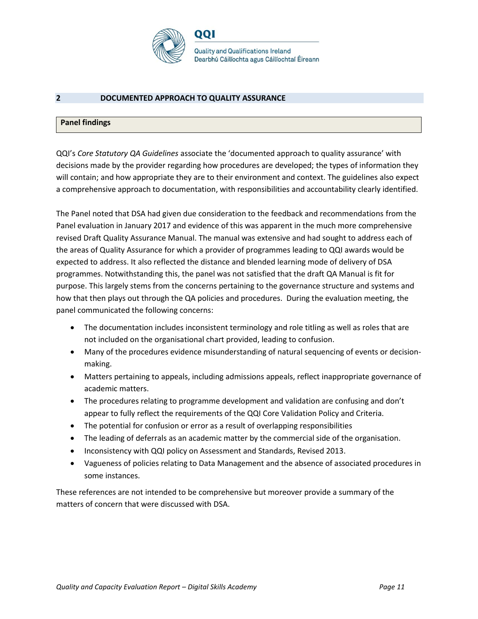

#### **2 DOCUMENTED APPROACH TO QUALITY ASSURANCE**

#### **Panel findings**

QQI's *Core Statutory QA Guidelines* associate the 'documented approach to quality assurance' with decisions made by the provider regarding how procedures are developed; the types of information they will contain; and how appropriate they are to their environment and context. The guidelines also expect a comprehensive approach to documentation, with responsibilities and accountability clearly identified.

The Panel noted that DSA had given due consideration to the feedback and recommendations from the Panel evaluation in January 2017 and evidence of this was apparent in the much more comprehensive revised Draft Quality Assurance Manual. The manual was extensive and had sought to address each of the areas of Quality Assurance for which a provider of programmes leading to QQI awards would be expected to address. It also reflected the distance and blended learning mode of delivery of DSA programmes. Notwithstanding this, the panel was not satisfied that the draft QA Manual is fit for purpose. This largely stems from the concerns pertaining to the governance structure and systems and how that then plays out through the QA policies and procedures. During the evaluation meeting, the panel communicated the following concerns:

- The documentation includes inconsistent terminology and role titling as well as roles that are not included on the organisational chart provided, leading to confusion.
- Many of the procedures evidence misunderstanding of natural sequencing of events or decisionmaking.
- Matters pertaining to appeals, including admissions appeals, reflect inappropriate governance of academic matters.
- The procedures relating to programme development and validation are confusing and don't appear to fully reflect the requirements of the QQI Core Validation Policy and Criteria.
- The potential for confusion or error as a result of overlapping responsibilities
- The leading of deferrals as an academic matter by the commercial side of the organisation.
- Inconsistency with QQI policy on Assessment and Standards, Revised 2013.
- Vagueness of policies relating to Data Management and the absence of associated procedures in some instances.

These references are not intended to be comprehensive but moreover provide a summary of the matters of concern that were discussed with DSA.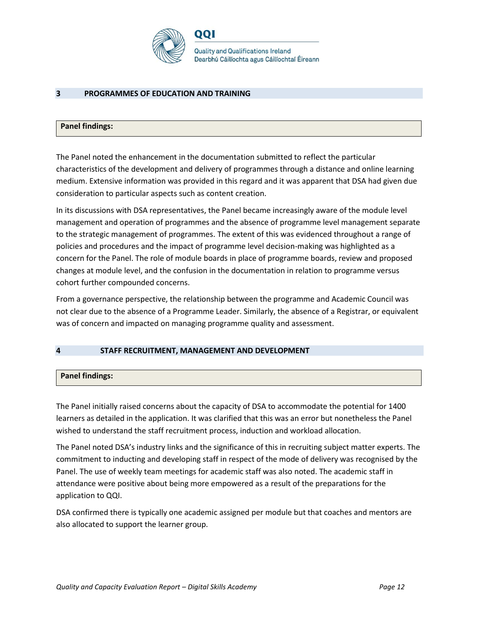

#### **3 PROGRAMMES OF EDUCATION AND TRAINING**

#### **Panel findings:**

The Panel noted the enhancement in the documentation submitted to reflect the particular characteristics of the development and delivery of programmes through a distance and online learning medium. Extensive information was provided in this regard and it was apparent that DSA had given due consideration to particular aspects such as content creation.

In its discussions with DSA representatives, the Panel became increasingly aware of the module level management and operation of programmes and the absence of programme level management separate to the strategic management of programmes. The extent of this was evidenced throughout a range of policies and procedures and the impact of programme level decision-making was highlighted as a concern for the Panel. The role of module boards in place of programme boards, review and proposed changes at module level, and the confusion in the documentation in relation to programme versus cohort further compounded concerns.

From a governance perspective, the relationship between the programme and Academic Council was not clear due to the absence of a Programme Leader. Similarly, the absence of a Registrar, or equivalent was of concern and impacted on managing programme quality and assessment.

#### **4 STAFF RECRUITMENT, MANAGEMENT AND DEVELOPMENT**

#### **Panel findings:**

The Panel initially raised concerns about the capacity of DSA to accommodate the potential for 1400 learners as detailed in the application. It was clarified that this was an error but nonetheless the Panel wished to understand the staff recruitment process, induction and workload allocation.

The Panel noted DSA's industry links and the significance of this in recruiting subject matter experts. The commitment to inducting and developing staff in respect of the mode of delivery was recognised by the Panel. The use of weekly team meetings for academic staff was also noted. The academic staff in attendance were positive about being more empowered as a result of the preparations for the application to QQI.

DSA confirmed there is typically one academic assigned per module but that coaches and mentors are also allocated to support the learner group.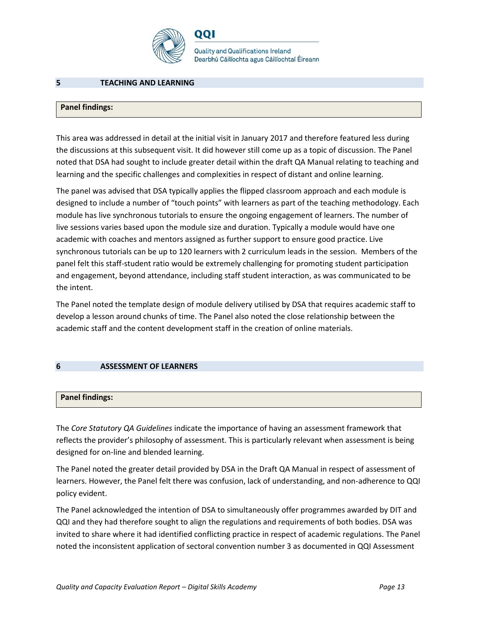

001

**Quality and Qualifications Ireland** Dearbhú Cáilíochta agus Cáilíochtaí Éireann

#### **5 TEACHING AND LEARNING**

#### **Panel findings:**

This area was addressed in detail at the initial visit in January 2017 and therefore featured less during the discussions at this subsequent visit. It did however still come up as a topic of discussion. The Panel noted that DSA had sought to include greater detail within the draft QA Manual relating to teaching and learning and the specific challenges and complexities in respect of distant and online learning.

The panel was advised that DSA typically applies the flipped classroom approach and each module is designed to include a number of "touch points" with learners as part of the teaching methodology. Each module has live synchronous tutorials to ensure the ongoing engagement of learners. The number of live sessions varies based upon the module size and duration. Typically a module would have one academic with coaches and mentors assigned as further support to ensure good practice. Live synchronous tutorials can be up to 120 learners with 2 curriculum leads in the session. Members of the panel felt this staff-student ratio would be extremely challenging for promoting student participation and engagement, beyond attendance, including staff student interaction, as was communicated to be the intent.

The Panel noted the template design of module delivery utilised by DSA that requires academic staff to develop a lesson around chunks of time. The Panel also noted the close relationship between the academic staff and the content development staff in the creation of online materials.

#### **6 ASSESSMENT OF LEARNERS**

| <b>Panel findings:</b> |  |  |
|------------------------|--|--|

The *Core Statutory QA Guidelines* indicate the importance of having an assessment framework that reflects the provider's philosophy of assessment. This is particularly relevant when assessment is being designed for on-line and blended learning.

The Panel noted the greater detail provided by DSA in the Draft QA Manual in respect of assessment of learners. However, the Panel felt there was confusion, lack of understanding, and non-adherence to QQI policy evident.

The Panel acknowledged the intention of DSA to simultaneously offer programmes awarded by DIT and QQI and they had therefore sought to align the regulations and requirements of both bodies. DSA was invited to share where it had identified conflicting practice in respect of academic regulations. The Panel noted the inconsistent application of sectoral convention number 3 as documented in QQI Assessment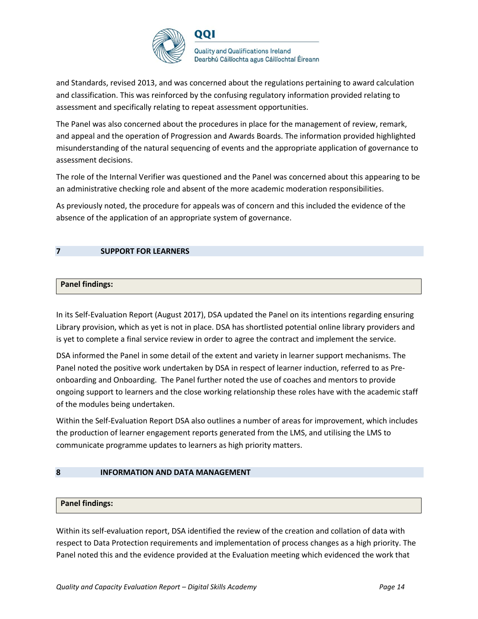

and Standards, revised 2013, and was concerned about the regulations pertaining to award calculation and classification. This was reinforced by the confusing regulatory information provided relating to assessment and specifically relating to repeat assessment opportunities.

The Panel was also concerned about the procedures in place for the management of review, remark, and appeal and the operation of Progression and Awards Boards. The information provided highlighted misunderstanding of the natural sequencing of events and the appropriate application of governance to assessment decisions.

The role of the Internal Verifier was questioned and the Panel was concerned about this appearing to be an administrative checking role and absent of the more academic moderation responsibilities.

As previously noted, the procedure for appeals was of concern and this included the evidence of the absence of the application of an appropriate system of governance.

#### **7 SUPPORT FOR LEARNERS**

#### **Panel findings:**

In its Self-Evaluation Report (August 2017), DSA updated the Panel on its intentions regarding ensuring Library provision, which as yet is not in place. DSA has shortlisted potential online library providers and is yet to complete a final service review in order to agree the contract and implement the service.

DSA informed the Panel in some detail of the extent and variety in learner support mechanisms. The Panel noted the positive work undertaken by DSA in respect of learner induction, referred to as Preonboarding and Onboarding. The Panel further noted the use of coaches and mentors to provide ongoing support to learners and the close working relationship these roles have with the academic staff of the modules being undertaken.

Within the Self-Evaluation Report DSA also outlines a number of areas for improvement, which includes the production of learner engagement reports generated from the LMS, and utilising the LMS to communicate programme updates to learners as high priority matters.

#### **8 INFORMATION AND DATA MANAGEMENT**

#### **Panel findings:**

Within its self-evaluation report, DSA identified the review of the creation and collation of data with respect to Data Protection requirements and implementation of process changes as a high priority. The Panel noted this and the evidence provided at the Evaluation meeting which evidenced the work that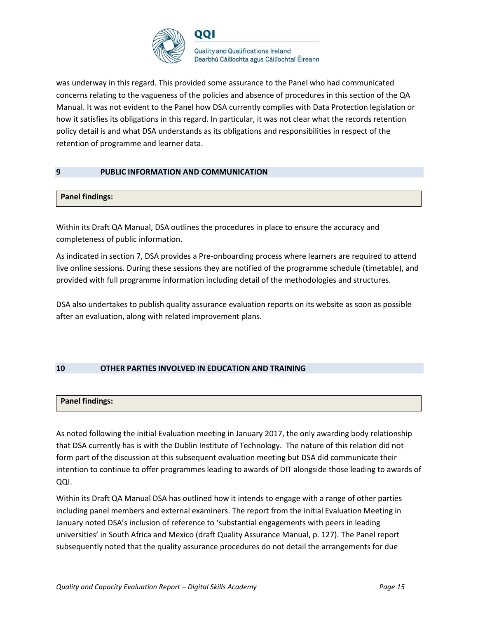

was underway in this regard. This provided some assurance to the Panel who had communicated concerns relating to the vagueness of the policies and absence of procedures in this section of the QA Manual. It was not evident to the Panel how DSA currently complies with Data Protection legislation or how it satisfies its obligations in this regard. In particular, it was not clear what the records retention policy detail is and what DSA understands as its obligations and responsibilities in respect of the retention of programme and learner data.

#### **9 PUBLIC INFORMATION AND COMMUNICATION**

#### **Panel findings:**

Within its Draft QA Manual, DSA outlines the procedures in place to ensure the accuracy and completeness of public information.

As indicated in section 7, DSA provides a Pre-onboarding process where learners are required to attend live online sessions. During these sessions they are notified of the programme schedule (timetable), and provided with full programme information including detail of the methodologies and structures.

DSA also undertakes to publish quality assurance evaluation reports on its website as soon as possible after an evaluation, along with related improvement plans.

#### **10 OTHER PARTIES INVOLVED IN EDUCATION AND TRAINING**

# **Panel findings:**

As noted following the initial Evaluation meeting in January 2017, the only awarding body relationship that DSA currently has is with the Dublin Institute of Technology. The nature of this relation did not form part of the discussion at this subsequent evaluation meeting but DSA did communicate their intention to continue to offer programmes leading to awards of DIT alongside those leading to awards of QQI.

Within its Draft QA Manual DSA has outlined how it intends to engage with a range of other parties including panel members and external examiners. The report from the initial Evaluation Meeting in January noted DSA's inclusion of reference to 'substantial engagements with peers in leading universities' in South Africa and Mexico (draft Quality Assurance Manual, p. 127). The Panel report subsequently noted that the quality assurance procedures do not detail the arrangements for due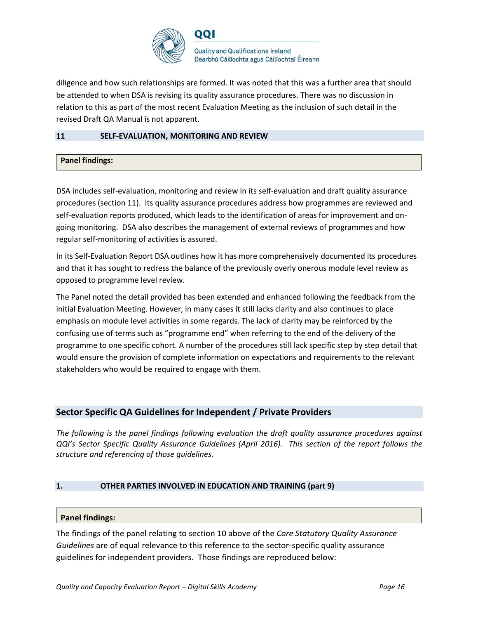

diligence and how such relationships are formed. It was noted that this was a further area that should be attended to when DSA is revising its quality assurance procedures. There was no discussion in relation to this as part of the most recent Evaluation Meeting as the inclusion of such detail in the revised Draft QA Manual is not apparent.

#### **11 SELF-EVALUATION, MONITORING AND REVIEW**

**Panel findings:**

DSA includes self-evaluation, monitoring and review in its self-evaluation and draft quality assurance procedures (section 11). Its quality assurance procedures address how programmes are reviewed and self-evaluation reports produced, which leads to the identification of areas for improvement and ongoing monitoring. DSA also describes the management of external reviews of programmes and how regular self-monitoring of activities is assured.

In its Self-Evaluation Report DSA outlines how it has more comprehensively documented its procedures and that it has sought to redress the balance of the previously overly onerous module level review as opposed to programme level review.

The Panel noted the detail provided has been extended and enhanced following the feedback from the initial Evaluation Meeting. However, in many cases it still lacks clarity and also continues to place emphasis on module level activities in some regards. The lack of clarity may be reinforced by the confusing use of terms such as "programme end" when referring to the end of the delivery of the programme to one specific cohort. A number of the procedures still lack specific step by step detail that would ensure the provision of complete information on expectations and requirements to the relevant stakeholders who would be required to engage with them.

#### **Sector Specific QA Guidelines for Independent / Private Providers**

*The following is the panel findings following evaluation the draft quality assurance procedures against QQI's Sector Specific Quality Assurance Guidelines (April 2016). This section of the report follows the structure and referencing of those guidelines.* 

#### **1. OTHER PARTIES INVOLVED IN EDUCATION AND TRAINING (part 9)**

#### **Panel findings:**

The findings of the panel relating to section 10 above of the *Core Statutory Quality Assurance Guidelines* are of equal relevance to this reference to the sector-specific quality assurance guidelines for independent providers. Those findings are reproduced below: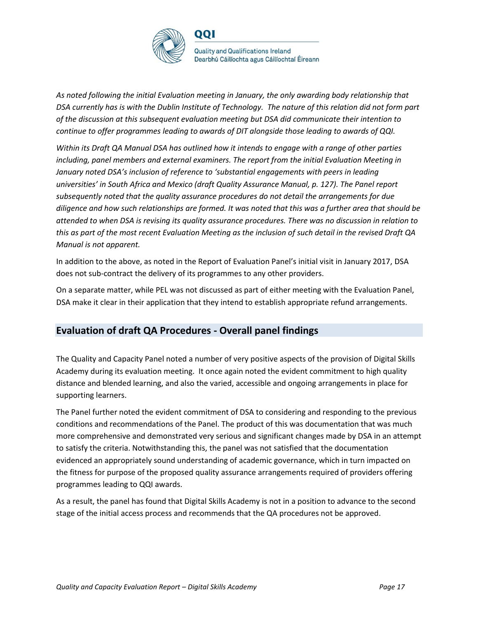

*As noted following the initial Evaluation meeting in January, the only awarding body relationship that DSA currently has is with the Dublin Institute of Technology. The nature of this relation did not form part of the discussion at this subsequent evaluation meeting but DSA did communicate their intention to continue to offer programmes leading to awards of DIT alongside those leading to awards of QQI.* 

*Within its Draft QA Manual DSA has outlined how it intends to engage with a range of other parties including, panel members and external examiners. The report from the initial Evaluation Meeting in January noted DSA's inclusion of reference to 'substantial engagements with peers in leading universities' in South Africa and Mexico (draft Quality Assurance Manual, p. 127). The Panel report subsequently noted that the quality assurance procedures do not detail the arrangements for due diligence and how such relationships are formed. It was noted that this was a further area that should be attended to when DSA is revising its quality assurance procedures. There was no discussion in relation to this as part of the most recent Evaluation Meeting as the inclusion of such detail in the revised Draft QA Manual is not apparent.* 

In addition to the above, as noted in the Report of Evaluation Panel's initial visit in January 2017, DSA does not sub-contract the delivery of its programmes to any other providers.

On a separate matter, while PEL was not discussed as part of either meeting with the Evaluation Panel, DSA make it clear in their application that they intend to establish appropriate refund arrangements.

# **Evaluation of draft QA Procedures - Overall panel findings**

The Quality and Capacity Panel noted a number of very positive aspects of the provision of Digital Skills Academy during its evaluation meeting. It once again noted the evident commitment to high quality distance and blended learning, and also the varied, accessible and ongoing arrangements in place for supporting learners.

The Panel further noted the evident commitment of DSA to considering and responding to the previous conditions and recommendations of the Panel. The product of this was documentation that was much more comprehensive and demonstrated very serious and significant changes made by DSA in an attempt to satisfy the criteria. Notwithstanding this, the panel was not satisfied that the documentation evidenced an appropriately sound understanding of academic governance, which in turn impacted on the fitness for purpose of the proposed quality assurance arrangements required of providers offering programmes leading to QQI awards.

As a result, the panel has found that Digital Skills Academy is not in a position to advance to the second stage of the initial access process and recommends that the QA procedures not be approved.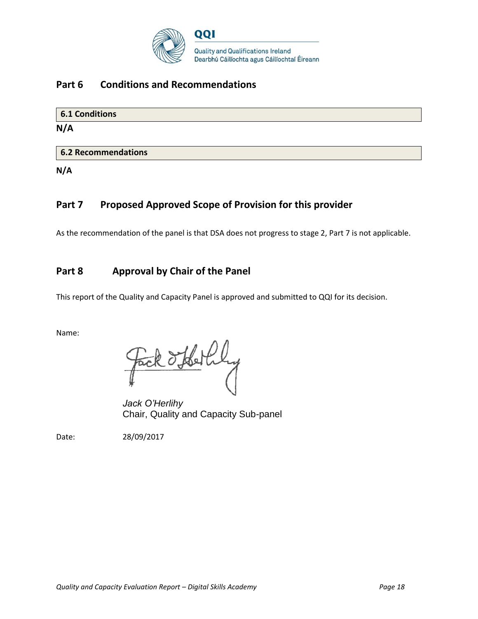

# **Part 6 Conditions and Recommendations**

| 6.1 Conditions |  |  |  |
|----------------|--|--|--|
| N/A            |  |  |  |

#### **6.2 Recommendations**

**N/A**

# Part 7 Proposed Approved Scope of Provision for this provider

As the recommendation of the panel is that DSA does not progress to stage 2, Part 7 is not applicable.

# **Part 8 Approval by Chair of the Panel**

This report of the Quality and Capacity Panel is approved and submitted to QQI for its decision.

Name:

Fack offerth

*Jack O'Herlihy* Chair, Quality and Capacity Sub-panel

Date: 28/09/2017